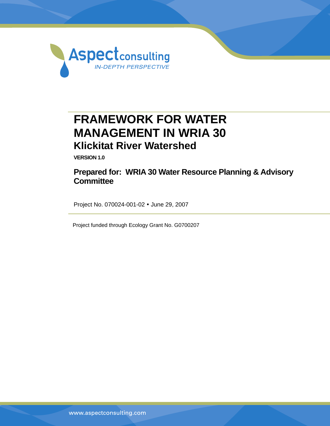

# **FRAMEWORK FOR WATER MANAGEMENT IN WRIA 30 Klickitat River Watershed**

**VERSION 1.0** 

## **Prepared for: WRIA 30 Water Resource Planning & Advisory Committee**

Project No. 070024-001-02 • June 29, 2007

Project funded through Ecology Grant No. G0700207

www.aspectconsulting.com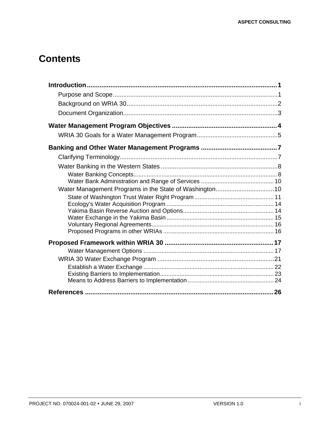# **Contents**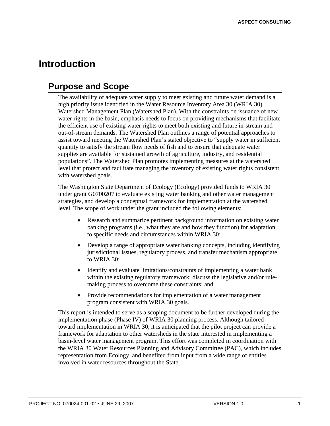## **Introduction**

## **Purpose and Scope**

The availability of adequate water supply to meet existing and future water demand is a high priority issue identified in the Water Resource Inventory Area 30 (WRIA 30) Watershed Management Plan (Watershed Plan). With the constraints on issuance of new water rights in the basin, emphasis needs to focus on providing mechanisms that facilitate the efficient use of existing water rights to meet both existing and future in-stream and out-of-stream demands. The Watershed Plan outlines a range of potential approaches to assist toward meeting the Watershed Plan's stated objective to "supply water in sufficient quantity to satisfy the stream flow needs of fish and to ensure that adequate water supplies are available for sustained growth of agriculture, industry, and residential populations". The Watershed Plan promotes implementing measures at the watershed level that protect and facilitate managing the inventory of existing water rights consistent with watershed goals.

The Washington State Department of Ecology (Ecology) provided funds to WRIA 30 under grant G0700207 to evaluate existing water banking and other water management strategies, and develop a conceptual framework for implementation at the watershed level. The scope of work under the grant included the following elements:

- Research and summarize pertinent background information on existing water banking programs (i.e., what they are and how they function) for adaptation to specific needs and circumstances within WRIA 30;
- Develop a range of appropriate water banking concepts, including identifying jurisdictional issues, regulatory process, and transfer mechanism appropriate to WRIA 30;
- Identify and evaluate limitations/constraints of implementing a water bank within the existing regulatory framework; discuss the legislative and/or rulemaking process to overcome these constraints; and
- Provide recommendations for implementation of a water management program consistent with WRIA 30 goals.

This report is intended to serve as a scoping document to be further developed during the implementation phase (Phase IV) of WRIA 30 planning process. Although tailored toward implementation in WRIA 30, it is anticipated that the pilot project can provide a framework for adaptation to other watersheds in the state interested in implementing a basin-level water management program. This effort was completed in coordination with the WRIA 30 Water Resources Planning and Advisory Committee (PAC), which includes representation from Ecology, and benefited from input from a wide range of entities involved in water resources throughout the State.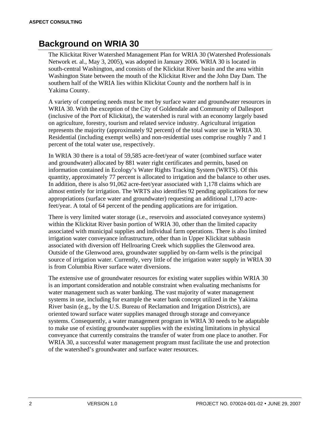## **Background on WRIA 30**

The Klickitat River Watershed Management Plan for WRIA 30 (Watershed Professionals Network et. al., May 3, 2005), was adopted in January 2006. WRIA 30 is located in south-central Washington, and consists of the Klickitat River basin and the area within Washington State between the mouth of the Klickitat River and the John Day Dam. The southern half of the WRIA lies within Klickitat County and the northern half is in Yakima County.

A variety of competing needs must be met by surface water and groundwater resources in WRIA 30. With the exception of the City of Goldendale and Community of Dallesport (inclusive of the Port of Klickitat), the watershed is rural with an economy largely based on agriculture, forestry, tourism and related service industry. Agricultural irrigation represents the majority (approximately 92 percent) of the total water use in WRIA 30. Residential (including exempt wells) and non-residential uses comprise roughly 7 and 1 percent of the total water use, respectively.

In WRIA 30 there is a total of 59,585 acre-feet/year of water (combined surface water and groundwater) allocated by 881 water right certificates and permits, based on information contained in Ecology's Water Rights Tracking System (WRTS). Of this quantity, approximately 77 percent is allocated to irrigation and the balance to other uses. In addition, there is also 91,062 acre-feet/year associated with 1,178 claims which are almost entirely for irrigation. The WRTS also identifies 92 pending applications for new appropriations (surface water and groundwater) requesting an additional 1,170 acrefeet/year. A total of 64 percent of the pending applications are for irrigation.

There is very limited water storage (i.e., reservoirs and associated conveyance systems) within the Klickitat River basin portion of WRIA 30, other than the limited capacity associated with municipal supplies and individual farm operations. There is also limited irrigation water conveyance infrastructure, other than in Upper Klickitat subbasin associated with diversion off Hellroaring Creek which supplies the Glenwood area. Outside of the Glenwood area, groundwater supplied by on-farm wells is the principal source of irrigation water. Currently, very little of the irrigation water supply in WRIA 30 is from Columbia River surface water diversions.

The extensive use of groundwater resources for existing water supplies within WRIA 30 is an important consideration and notable constraint when evaluating mechanisms for water management such as water banking. The vast majority of water management systems in use, including for example the water bank concept utilized in the Yakima River basin (e.g., by the U.S. Bureau of Reclamation and Irrigation Districts), are oriented toward surface water supplies managed through storage and conveyance systems. Consequently, a water management program in WRIA 30 needs to be adaptable to make use of existing groundwater supplies with the existing limitations in physical conveyance that currently constrains the transfer of water from one place to another. For WRIA 30, a successful water management program must facilitate the use and protection of the watershed's groundwater and surface water resources.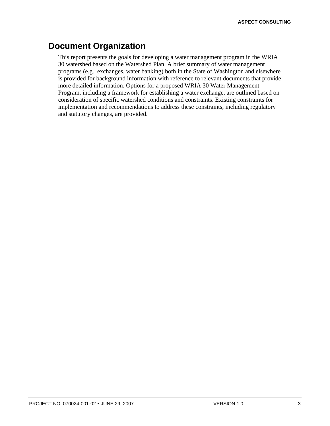## **Document Organization**

This report presents the goals for developing a water management program in the WRIA 30 watershed based on the Watershed Plan. A brief summary of water management programs (e.g., exchanges, water banking) both in the State of Washington and elsewhere is provided for background information with reference to relevant documents that provide more detailed information. Options for a proposed WRIA 30 Water Management Program, including a framework for establishing a water exchange, are outlined based on consideration of specific watershed conditions and constraints. Existing constraints for implementation and recommendations to address these constraints, including regulatory and statutory changes, are provided.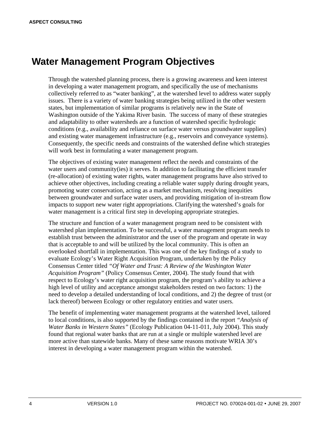## **Water Management Program Objectives**

Through the watershed planning process, there is a growing awareness and keen interest in developing a water management program, and specifically the use of mechanisms collectively referred to as "water banking", at the watershed level to address water supply issues. There is a variety of water banking strategies being utilized in the other western states, but implementation of similar programs is relatively new in the State of Washington outside of the Yakima River basin. The success of many of these strategies and adaptability to other watersheds are a function of watershed specific hydrologic conditions (e.g., availability and reliance on surface water versus groundwater supplies) and existing water management infrastructure (e.g., reservoirs and conveyance systems). Consequently, the specific needs and constraints of the watershed define which strategies will work best in formulating a water management program.

The objectives of existing water management reflect the needs and constraints of the water users and community(ies) it serves. In addition to facilitating the efficient transfer (re-allocation) of existing water rights, water management programs have also strived to achieve other objectives, including creating a reliable water supply during drought years, promoting water conservation, acting as a market mechanism, resolving inequities between groundwater and surface water users, and providing mitigation of in-stream flow impacts to support new water right appropriations. Clarifying the watershed's goals for water management is a critical first step in developing appropriate strategies.

The structure and function of a water management program need to be consistent with watershed plan implementation. To be successful, a water management program needs to establish trust between the administrator and the user of the program and operate in way that is acceptable to and will be utilized by the local community. This is often an overlooked shortfall in implementation. This was one of the key findings of a study to evaluate Ecology's Water Right Acquisition Program, undertaken by the Policy Consensus Center titled *"Of Water and Trust: A Review of the Washington Water Acquisition Program"* (Policy Consensus Center, 2004). The study found that with respect to Ecology's water right acquisition program, the program's ability to achieve a high level of utility and acceptance amongst stakeholders rested on two factors: 1) the need to develop a detailed understanding of local conditions, and 2) the degree of trust (or lack thereof) between Ecology or other regulatory entities and water users.

The benefit of implementing water management programs at the watershed level, tailored to local conditions, is also supported by the findings contained in the report *"Analysis of Water Banks in Western States"* (Ecology Publication 04-11-011, July 2004). This study found that regional water banks that are run at a single or multiple watershed level are more active than statewide banks. Many of these same reasons motivate WRIA 30's interest in developing a water management program within the watershed.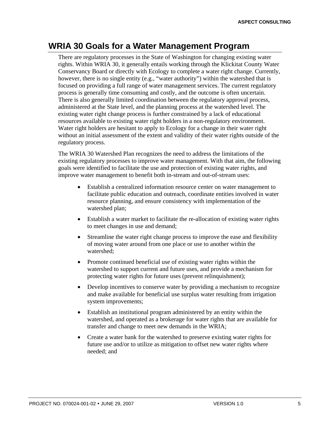## **WRIA 30 Goals for a Water Management Program**

There are regulatory processes in the State of Washington for changing existing water rights. Within WRIA 30, it generally entails working through the Klickitat County Water Conservancy Board or directly with Ecology to complete a water right change. Currently, however, there is no single entity (e.g., "water authority") within the watershed that is focused on providing a full range of water management services. The current regulatory process is generally time consuming and costly, and the outcome is often uncertain. There is also generally limited coordination between the regulatory approval process, administered at the State level, and the planning process at the watershed level. The existing water right change process is further constrained by a lack of educational resources available to existing water right holders in a non-regulatory environment. Water right holders are hesitant to apply to Ecology for a change in their water right without an initial assessment of the extent and validity of their water rights outside of the regulatory process.

The WRIA 30 Watershed Plan recognizes the need to address the limitations of the existing regulatory processes to improve water management. With that aim, the following goals were identified to facilitate the use and protection of existing water rights, and improve water management to benefit both in-stream and out-of-stream uses:

- Establish a centralized information resource center on water management to facilitate public education and outreach, coordinate entities involved in water resource planning, and ensure consistency with implementation of the watershed plan;
- Establish a water market to facilitate the re-allocation of existing water rights to meet changes in use and demand;
- Streamline the water right change process to improve the ease and flexibility of moving water around from one place or use to another within the watershed;
- Promote continued beneficial use of existing water rights within the watershed to support current and future uses, and provide a mechanism for protecting water rights for future uses (prevent relinquishment);
- Develop incentives to conserve water by providing a mechanism to recognize and make available for beneficial use surplus water resulting from irrigation system improvements;
- Establish an institutional program administered by an entity within the watershed, and operated as a brokerage for water rights that are available for transfer and change to meet new demands in the WRIA;
- Create a water bank for the watershed to preserve existing water rights for future use and/or to utilize as mitigation to offset new water rights where needed; and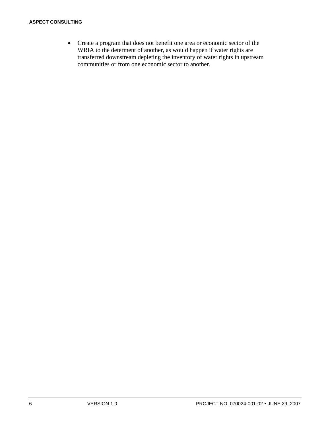#### **ASPECT CONSULTING**

• Create a program that does not benefit one area or economic sector of the WRIA to the determent of another, as would happen if water rights are transferred downstream depleting the inventory of water rights in upstream communities or from one economic sector to another.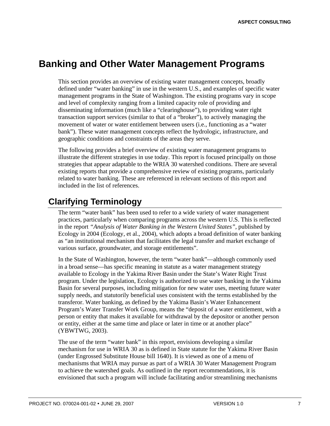## **Banking and Other Water Management Programs**

This section provides an overview of existing water management concepts, broadly defined under "water banking" in use in the western U.S., and examples of specific water management programs in the State of Washington. The existing programs vary in scope and level of complexity ranging from a limited capacity role of providing and disseminating information (much like a "clearinghouse"), to providing water right transaction support services (similar to that of a "broker"), to actively managing the movement of water or water entitlement between users (i.e., functioning as a "water bank"). These water management concepts reflect the hydrologic, infrastructure, and geographic conditions and constraints of the areas they serve.

The following provides a brief overview of existing water management programs to illustrate the different strategies in use today. This report is focused principally on those strategies that appear adaptable to the WRIA 30 watershed conditions. There are several existing reports that provide a comprehensive review of existing programs, particularly related to water banking. These are referenced in relevant sections of this report and included in the list of references.

## **Clarifying Terminology**

The term "water bank" has been used to refer to a wide variety of water management practices, particularly when comparing programs across the western U.S. This is reflected in the report *"Analysis of Water Banking in the Western United States"*, published by Ecology in 2004 (Ecology, et al., 2004), which adopts a broad definition of water banking as "an institutional mechanism that facilitates the legal transfer and market exchange of various surface, groundwater, and storage entitlements".

In the State of Washington, however, the term "water bank"––although commonly used in a broad sense––has specific meaning in statute as a water management strategy available to Ecology in the Yakima River Basin under the State's Water Right Trust program. Under the legislation, Ecology is authorized to use water banking in the Yakima Basin for several purposes, including mitigation for new water uses, meeting future water supply needs, and statutorily beneficial uses consistent with the terms established by the transferor. Water banking, as defined by the Yakima Basin's Water Enhancement Program's Water Transfer Work Group, means the "deposit of a water entitlement, with a person or entity that makes it available for withdrawal by the depositor or another person or entity, either at the same time and place or later in time or at another place" (YBWTWG, 2003).

The use of the term "water bank" in this report, envisions developing a similar mechanism for use in WRIA 30 as is defined in State statute for the Yakima River Basin (under Engrossed Substitute House bill 1640). It is viewed as one of a menu of mechanisms that WRIA may pursue as part of a WRIA 30 Water Management Program to achieve the watershed goals. As outlined in the report recommendations, it is envisioned that such a program will include facilitating and/or streamlining mechanisms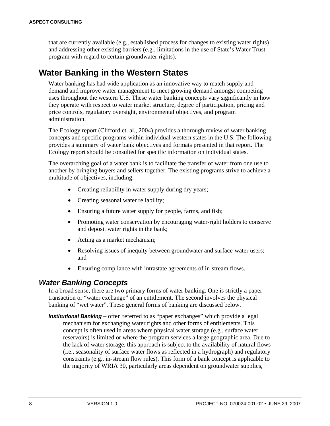that are currently available (e.g., established process for changes to existing water rights) and addressing other existing barriers (e.g., limitations in the use of State's Water Trust program with regard to certain groundwater rights).

## **Water Banking in the Western States**

Water banking has had wide application as an innovative way to match supply and demand and improve water management to meet growing demand amongst competing uses throughout the western U.S. These water banking concepts vary significantly in how they operate with respect to water market structure, degree of participation, pricing and price controls, regulatory oversight, environmental objectives, and program administration.

The Ecology report (Clifford et. al., 2004) provides a thorough review of water banking concepts and specific programs within individual western states in the U.S. The following provides a summary of water bank objectives and formats presented in that report. The Ecology report should be consulted for specific information on individual states.

The overarching goal of a water bank is to facilitate the transfer of water from one use to another by bringing buyers and sellers together. The existing programs strive to achieve a multitude of objectives, including:

- Creating reliability in water supply during dry years;
- Creating seasonal water reliability;
- Ensuring a future water supply for people, farms, and fish;
- Promoting water conservation by encouraging water-right holders to conserve and deposit water rights in the bank;
- Acting as a market mechanism;
- Resolving issues of inequity between groundwater and surface-water users; and
- Ensuring compliance with intrastate agreements of in-stream flows.

### *Water Banking Concepts*

In a broad sense, there are two primary forms of water banking. One is strictly a paper transaction or "water exchange" of an entitlement. The second involves the physical banking of "wet water". These general forms of banking are discussed below.

*Institutional Banking* – often referred to as "paper exchanges" which provide a legal mechanism for exchanging water rights and other forms of entitlements. This concept is often used in areas where physical water storage (e.g., surface water reservoirs) is limited or where the program services a large geographic area. Due to the lack of water storage, this approach is subject to the availability of natural flows (i.e., seasonality of surface water flows as reflected in a hydrograph) and regulatory constraints (e.g., in-stream flow rules). This form of a bank concept is applicable to the majority of WRIA 30, particularly areas dependent on groundwater supplies,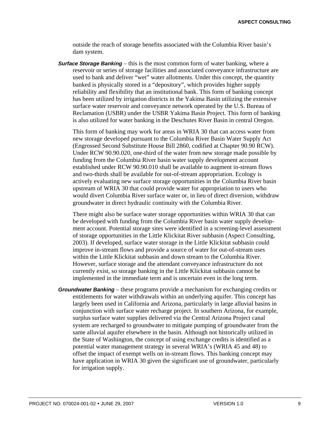outside the reach of storage benefits associated with the Columbia River basin's dam system.

*Surface Storage Banking* – this is the most common form of water banking, where a reservoir or series of storage facilities and associated conveyance infrastructure are used to bank and deliver "wet" water allotments. Under this concept, the quantity banked is physically stored in a "depository", which provides higher supply reliability and flexibility that an institutional bank. This form of banking concept has been utilized by irrigation districts in the Yakima Basin utilizing the extensive surface water reservoir and conveyance network operated by the U.S. Bureau of Reclamation (USBR) under the USBR Yakima Basin Project. This form of banking is also utilized for water banking in the Deschutes River Basin in central Oregon.

This form of banking may work for areas in WRIA 30 that can access water from new storage developed pursuant to the Columbia River Basin Water Supply Act (Engrossed Second Substitute House Bill 2860, codified at Chapter 90.90 RCW). Under RCW 90.90.020, one-third of the water from new storage made possible by funding from the Columbia River basin water supply development account established under RCW 90.90.010 shall be available to augment in-stream flows and two-thirds shall be available for out-of-stream appropriation. Ecology is actively evaluating new surface storage opportunities in the Columbia River basin upstream of WRIA 30 that could provide water for appropriation to users who would divert Columbia River surface water or, in lieu of direct diversion, withdraw groundwater in direct hydraulic continuity with the Columbia River.

There might also be surface water storage opportunities within WRIA 30 that can be developed with funding from the Columbia River basin water supply development account. Potential storage sites were identified in a screening-level assessment of storage opportunities in the Little Klickitat River subbasin (Aspect Consulting, 2003). If developed, surface water storage in the Little Klickitat subbasin could improve in-stream flows and provide a source of water for out-of-stream uses within the Little Klickitat subbasin and down stream to the Columbia River. However, surface storage and the attendant conveyance infrastructure do not currently exist, so storage banking in the Little Klickitat subbasin cannot be implemented in the immediate term and is uncertain even in the long term.

*Groundwater Banking* – these programs provide a mechanism for exchanging credits or entitlements for water withdrawals within an underlying aquifer. This concept has largely been used in California and Arizona, particularly in large alluvial basins in conjunction with surface water recharge project. In southern Arizona, for example, surplus surface water supplies delivered via the Central Arizona Project canal system are recharged to groundwater to mitigate pumping of groundwater from the same alluvial aquifer elsewhere in the basin. Although not historically utilized in the State of Washington, the concept of using exchange credits is identified as a potential water management strategy in several WRIA's (WRIA 45 and 48) to offset the impact of exempt wells on in-stream flows. This banking concept may have application in WRIA 30 given the significant use of groundwater, particularly for irrigation supply.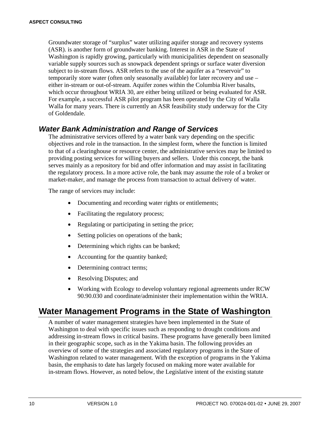Groundwater storage of "surplus" water utilizing aquifer storage and recovery systems (ASR). is another form of groundwater banking. Interest in ASR in the State of Washington is rapidly growing, particularly with municipalities dependent on seasonally variable supply sources such as snowpack dependent springs or surface water diversion subject to in-stream flows. ASR refers to the use of the aquifer as a "reservoir" to temporarily store water (often only seasonally available) for later recovery and use – either in-stream or out-of-stream. Aquifer zones within the Columbia River basalts, which occur throughout WRIA 30, are either being utilized or being evaluated for ASR. For example, a successful ASR pilot program has been operated by the City of Walla Walla for many years. There is currently an ASR feasibility study underway for the City of Goldendale.

### *Water Bank Administration and Range of Services*

The administrative services offered by a water bank vary depending on the specific objectives and role in the transaction. In the simplest form, where the function is limited to that of a clearinghouse or resource center, the administrative services may be limited to providing posting services for willing buyers and sellers. Under this concept, the bank serves mainly as a repository for bid and offer information and may assist in facilitating the regulatory process. In a more active role, the bank may assume the role of a broker or market-maker, and manage the process from transaction to actual delivery of water.

The range of services may include:

- Documenting and recording water rights or entitlements;
- Facilitating the regulatory process;
- Regulating or participating in setting the price;
- Setting policies on operations of the bank;
- Determining which rights can be banked;
- Accounting for the quantity banked;
- Determining contract terms;
- Resolving Disputes; and
- Working with Ecology to develop voluntary regional agreements under RCW 90.90.030 and coordinate/administer their implementation within the WRIA.

## **Water Management Programs in the State of Washington**

A number of water management strategies have been implemented in the State of Washington to deal with specific issues such as responding to drought conditions and addressing in-stream flows in critical basins. These programs have generally been limited in their geographic scope, such as in the Yakima basin. The following provides an overview of some of the strategies and associated regulatory programs in the State of Washington related to water management. With the exception of programs in the Yakima basin, the emphasis to date has largely focused on making more water available for in-stream flows. However, as noted below, the Legislative intent of the existing statute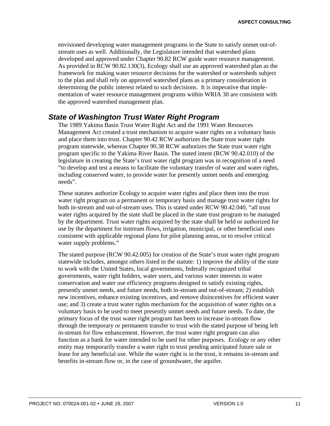envisioned developing water management programs in the State to satisfy unmet out-ofstream uses as well. Additionally, the Legislature intended that watershed plans developed and approved under Chapter 90.82 RCW guide water resource management. As provided in RCW 90.82.130(3), Ecology shall use an approved watershed plan as the framework for making water resource decisions for the watershed or watersheds subject to the plan and shall rely on approved watershed plans as a primary consideration in determining the public interest related to such decisions. It is imperative that implementation of water resource management programs within WRIA 30 are consistent with the approved watershed management plan.

### *State of Washington Trust Water Right Program*

The 1989 Yakima Basin Trust Water Right Act and the 1991 Water Resources Management Act created a trust mechanism to acquire water rights on a voluntary basis and place them into trust. Chapter 90.42 RCW authorizes the State trust water right program statewide, whereas Chapter 90.38 RCW authorizes the State trust water right program specific to the Yakima River Basin. The stated intent (RCW 90.42.010) of the legislature in creating the State's trust water right program was in recognition of a need "to develop and test a means to facilitate the voluntary transfer of water and water rights, including conserved water, to provide water for presently unmet needs and emerging needs".

These statutes authorize Ecology to acquire water rights and place them into the trust water right program on a permanent or temporary basis and manage trust water rights for both in-stream and out-of-stream uses. This is stated under RCW 90.42.040, "all trust water rights acquired by the state shall be placed in the state trust program to be managed by the department. Trust water rights acquired by the state shall be held or authorized for use by the department for instream flows, irrigation, municipal, or other beneficial uses consistent with applicable regional plans for pilot planning areas, or to resolve critical water supply problems."

The stated purpose (RCW 90.42.005) for creation of the State's trust water right program statewide includes, amongst others listed in the statute: 1) improve the ability of the state to work with the United States, local governments, federally recognized tribal governments, water right holders, water users, and various water interests in water conservation and water use efficiency programs designed to satisfy existing rights, presently unmet needs, and future needs, both in-stream and out-of-stream; 2) establish new incentives, enhance existing incentives, and remove disincentives for efficient water use; and 3) create a trust water rights mechanism for the acquisition of water rights on a voluntary basis to be used to meet presently unmet needs and future needs. To date, the primary focus of the trust water right program has been to increase in-stream flow through the temporary or permanent transfer to trust with the stated purpose of being left in-stream for flow enhancement. However, the trust water right program can also function as a bank for water intended to be used for other purposes. Ecology or any other entity may temporarily transfer a water right to trust pending anticipated future sale or lease for any beneficial use. While the water right is in the trust, it remains in-stream and benefits in-stream flow or, in the case of groundwater, the aquifer.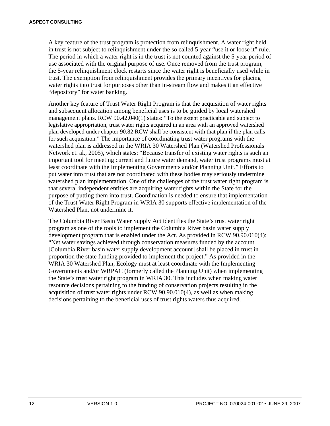A key feature of the trust program is protection from relinquishment. A water right held in trust is not subject to relinquishment under the so called 5-year "use it or loose it" rule. The period in which a water right is in the trust is not counted against the 5-year period of use associated with the original purpose of use. Once removed from the trust program, the 5-year relinquishment clock restarts since the water right is beneficially used while in trust. The exemption from relinquishment provides the primary incentives for placing water rights into trust for purposes other than in-stream flow and makes it an effective "depository" for water banking.

Another key feature of Trust Water Right Program is that the acquisition of water rights and subsequent allocation among beneficial uses is to be guided by local watershed management plans. RCW 90.42.040(1) states: "To the extent practicable and subject to legislative appropriation, trust water rights acquired in an area with an approved watershed plan developed under chapter 90.82 RCW shall be consistent with that plan if the plan calls for such acquisition." The importance of coordinating trust water programs with the watershed plan is addressed in the WRIA 30 Watershed Plan (Watershed Professionals Network et. al., 2005), which states: "Because transfer of existing water rights is such an important tool for meeting current and future water demand, water trust programs must at least coordinate with the Implementing Governments and/or Planning Unit." Efforts to put water into trust that are not coordinated with these bodies may seriously undermine watershed plan implementation. One of the challenges of the trust water right program is that several independent entities are acquiring water rights within the State for the purpose of putting them into trust. Coordination is needed to ensure that implementation of the Trust Water Right Program in WRIA 30 supports effective implementation of the Watershed Plan, not undermine it.

The Columbia River Basin Water Supply Act identifies the State's trust water right program as one of the tools to implement the Columbia River basin water supply development program that is enabled under the Act. As provided in RCW 90.90.010(4): "Net water savings achieved through conservation measures funded by the account [Columbia River basin water supply development account] shall be placed in trust in proportion the state funding provided to implement the project." As provided in the WRIA 30 Watershed Plan, Ecology must at least coordinate with the Implementing Governments and/or WRPAC (formerly called the Planning Unit) when implementing the State's trust water right program in WRIA 30. This includes when making water resource decisions pertaining to the funding of conservation projects resulting in the acquisition of trust water rights under RCW 90.90.010(4), as well as when making decisions pertaining to the beneficial uses of trust rights waters thus acquired.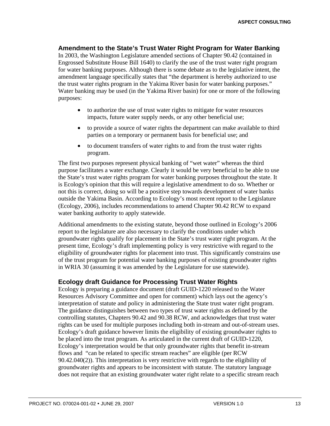#### **Amendment to the State's Trust Water Right Program for Water Banking**

In 2003, the Washington Legislature amended sections of Chapter 90.42 (contained in Engrossed Substitute House Bill 1640) to clarify the use of the trust water right program for water banking purposes. Although there is some debate as to the legislative intent, the amendment language specifically states that "the department is hereby authorized to use the trust water rights program in the Yakima River basin for water banking purposes." Water banking may be used (in the Yakima River basin) for one or more of the following purposes:

- to authorize the use of trust water rights to mitigate for water resources impacts, future water supply needs, or any other beneficial use;
- to provide a source of water rights the department can make available to third parties on a temporary or permanent basis for beneficial use; and
- to document transfers of water rights to and from the trust water rights program.

The first two purposes represent physical banking of "wet water" whereas the third purpose facilitates a water exchange. Clearly it would be very beneficial to be able to use the State's trust water rights program for water banking purposes throughout the state. It is Ecology's opinion that this will require a legislative amendment to do so. Whether or not this is correct, doing so will be a positive step towards development of water banks outside the Yakima Basin. According to Ecology's most recent report to the Legislature (Ecology, 2006), includes recommendations to amend Chapter 90.42 RCW to expand water banking authority to apply statewide.

Additional amendments to the existing statute, beyond those outlined in Ecology's 2006 report to the legislature are also necessary to clarify the conditions under which groundwater rights qualify for placement in the State's trust water right program. At the present time, Ecology's draft implementing policy is very restrictive with regard to the eligibility of groundwater rights for placement into trust. This significantly constrains use of the trust program for potential water banking purposes of existing groundwater rights in WRIA 30 (assuming it was amended by the Legislature for use statewide).

#### **Ecology draft Guidance for Processing Trust Water Rights**

Ecology is preparing a guidance document (draft GUID-1220 released to the Water Resources Advisory Committee and open for comment) which lays out the agency's interpretation of statute and policy in administering the State trust water right program. The guidance distinguishes between two types of trust water rights as defined by the controlling statutes, Chapters 90.42 and 90.38 RCW, and acknowledges that trust water rights can be used for multiple purposes including both in-stream and out-of-stream uses. Ecology's draft guidance however limits the eligibility of existing groundwater rights to be placed into the trust program. As articulated in the current draft of GUID-1220, Ecology's interpretation would be that only groundwater rights that benefit in-stream flows and "can be related to specific stream reaches" are eligible (per RCW 90.42.040(2)). This interpretation is very restrictive with regards to the eligibility of groundwater rights and appears to be inconsistent with statute. The statutory language does not require that an existing groundwater water right relate to a specific stream reach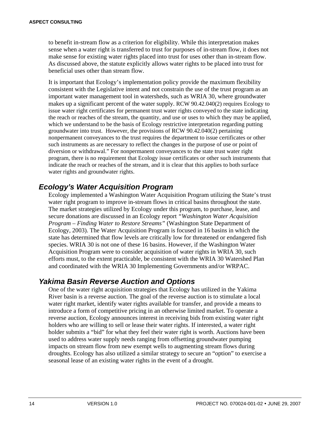to benefit in-stream flow as a criterion for eligibility. While this interpretation makes sense when a water right is transferred to trust for purposes of in-stream flow, it does not make sense for existing water rights placed into trust for uses other than in-stream flow. As discussed above, the statute explicitly allows water rights to be placed into trust for beneficial uses other than stream flow.

It is important that Ecology's implementation policy provide the maximum flexibility consistent with the Legislative intent and not constrain the use of the trust program as an important water management tool in watersheds, such as WRIA 30, where groundwater makes up a significant percent of the water supply. RCW 90.42.040(2) requires Ecology to issue water right certificates for permanent trust water rights conveyed to the state indicating the reach or reaches of the stream, the quantity, and use or uses to which they may be applied, which we understand to be the basis of Ecology restrictive interpretation regarding putting groundwater into trust. However, the provisions of RCW 90.42.040(2) pertaining nonpermanent conveyances to the trust requires the department to issue certificates or other such instruments as are necessary to reflect the changes in the purpose of use or point of diversion or withdrawal." For nonpermanent conveyances to the state trust water right program, there is no requirement that Ecology issue certificates or other such instruments that indicate the reach or reaches of the stream, and it is clear that this applies to both surface water rights and groundwater rights.

### *Ecology's Water Acquisition Program*

Ecology implemented a Washington Water Acquisition Program utilizing the State's trust water right program to improve in-stream flows in critical basins throughout the state. The market strategies utilized by Ecology under this program, to purchase, lease, and secure donations are discussed in an Ecology report *"Washington Water Acquisition Program – Finding Water to Restore Streams"* (Washington State Department of Ecology, 2003). The Water Acquisition Program is focused in 16 basins in which the state has determined that flow levels are critically low for threatened or endangered fish species. WRIA 30 is not one of these 16 basins. However, if the Washington Water Acquisition Program were to consider acquisition of water rights in WRIA 30, such efforts must, to the extent practicable, be consistent with the WRIA 30 Watershed Plan and coordinated with the WRIA 30 Implementing Governments and/or WRPAC.

### *Yakima Basin Reverse Auction and Options*

One of the water right acquisition strategies that Ecology has utilized in the Yakima River basin is a reverse auction. The goal of the reverse auction is to stimulate a local water right market, identify water rights available for transfer, and provide a means to introduce a form of competitive pricing in an otherwise limited market. To operate a reverse auction, Ecology announces interest in receiving bids from existing water right holders who are willing to sell or lease their water rights. If interested, a water right holder submits a "bid" for what they feel their water right is worth. Auctions have been used to address water supply needs ranging from offsetting groundwater pumping impacts on stream flow from new exempt wells to augmenting stream flows during droughts. Ecology has also utilized a similar strategy to secure an "option" to exercise a seasonal lease of an existing water rights in the event of a drought.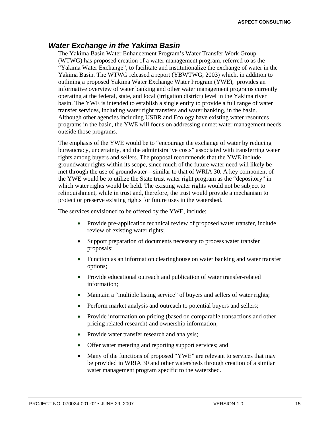### *Water Exchange in the Yakima Basin*

The Yakima Basin Water Enhancement Program's Water Transfer Work Group (WTWG) has proposed creation of a water management program, referred to as the "Yakima Water Exchange", to facilitate and institutionalize the exchange of water in the Yakima Basin. The WTWG released a report (YBWTWG, 2003) which, in addition to outlining a proposed Yakima Water Exchange Water Program (YWE), provides an informative overview of water banking and other water management programs currently operating at the federal, state, and local (irrigation district) level in the Yakima river basin. The YWE is intended to establish a single entity to provide a full range of water transfer services, including water right transfers and water banking, in the basin. Although other agencies including USBR and Ecology have existing water resources programs in the basin, the YWE will focus on addressing unmet water management needs outside those programs.

The emphasis of the YWE would be to "encourage the exchange of water by reducing bureaucracy, uncertainty, and the administrative costs" associated with transferring water rights among buyers and sellers. The proposal recommends that the YWE include groundwater rights within its scope, since much of the future water need will likely be met through the use of groundwater––similar to that of WRIA 30. A key component of the YWE would be to utilize the State trust water right program as the "depository" in which water rights would be held. The existing water rights would not be subject to relinquishment, while in trust and, therefore, the trust would provide a mechanism to protect or preserve existing rights for future uses in the watershed.

The services envisioned to be offered by the YWE, include:

- Provide pre-application technical review of proposed water transfer, include review of existing water rights;
- Support preparation of documents necessary to process water transfer proposals;
- Function as an information clearinghouse on water banking and water transfer options;
- Provide educational outreach and publication of water transfer-related information;
- Maintain a "multiple listing service" of buyers and sellers of water rights;
- Perform market analysis and outreach to potential buyers and sellers;
- Provide information on pricing (based on comparable transactions and other pricing related research) and ownership information;
- Provide water transfer research and analysis;
- Offer water metering and reporting support services; and
- Many of the functions of proposed "YWE" are relevant to services that may be provided in WRIA 30 and other watersheds through creation of a similar water management program specific to the watershed.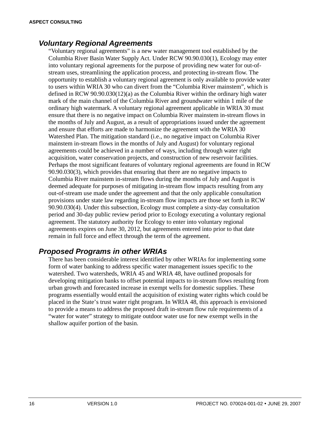### *Voluntary Regional Agreements*

"Voluntary regional agreements" is a new water management tool established by the Columbia River Basin Water Supply Act. Under RCW 90.90.030(1), Ecology may enter into voluntary regional agreements for the purpose of providing new water for out-ofstream uses, streamlining the application process, and protecting in-stream flow. The opportunity to establish a voluntary regional agreement is only available to provide water to users within WRIA 30 who can divert from the "Columbia River mainstem", which is defined in RCW 90.90.030(12)(a) as the Columbia River within the ordinary high water mark of the main channel of the Columbia River and groundwater within 1 mile of the ordinary high watermark. A voluntary regional agreement applicable in WRIA 30 must ensure that there is no negative impact on Columbia River mainstem in-stream flows in the months of July and August, as a result of appropriations issued under the agreement and ensure that efforts are made to harmonize the agreement with the WRIA 30 Watershed Plan. The mitigation standard (i.e., no negative impact on Columbia River mainstem in-stream flows in the months of July and August) for voluntary regional agreements could be achieved in a number of ways, including through water right acquisition, water conservation projects, and construction of new reservoir facilities. Perhaps the most significant features of voluntary regional agreements are found in RCW 90.90.030(3), which provides that ensuring that there are no negative impacts to Columbia River mainstem in-stream flows during the months of July and August is deemed adequate for purposes of mitigating in-stream flow impacts resulting from any out-of-stream use made under the agreement and that the only applicable consultation provisions under state law regarding in-stream flow impacts are those set forth in RCW 90.90.030(4). Under this subsection, Ecology must complete a sixty-day consultation period and 30-day public review period prior to Ecology executing a voluntary regional agreement. The statutory authority for Ecology to enter into voluntary regional agreements expires on June 30, 2012, but agreements entered into prior to that date remain in full force and effect through the term of the agreement.

### *Proposed Programs in other WRIAs*

There has been considerable interest identified by other WRIAs for implementing some form of water banking to address specific water management issues specific to the watershed. Two watersheds, WRIA 45 and WRIA 48, have outlined proposals for developing mitigation banks to offset potential impacts to in-stream flows resulting from urban growth and forecasted increase in exempt wells for domestic supplies. These programs essentially would entail the acquisition of existing water rights which could be placed in the State's trust water right program. In WRIA 48, this approach is envisioned to provide a means to address the proposed draft in-stream flow rule requirements of a "water for water" strategy to mitigate outdoor water use for new exempt wells in the shallow aquifer portion of the basin.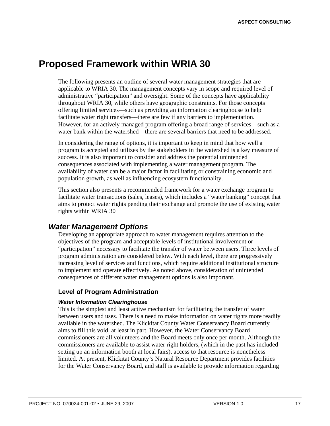## **Proposed Framework within WRIA 30**

The following presents an outline of several water management strategies that are applicable to WRIA 30. The management concepts vary in scope and required level of administrative "participation" and oversight. Some of the concepts have applicability throughout WRIA 30, while others have geographic constraints. For those concepts offering limited services––such as providing an information clearinghouse to help facilitate water right transfers—there are few if any barriers to implementation. However, for an actively managed program offering a broad range of services––such as a water bank within the watershed—there are several barriers that need to be addressed.

In considering the range of options, it is important to keep in mind that how well a program is accepted and utilizes by the stakeholders in the watershed is a key measure of success. It is also important to consider and address the potential unintended consequences associated with implementing a water management program. The availability of water can be a major factor in facilitating or constraining economic and population growth, as well as influencing ecosystem functionality.

This section also presents a recommended framework for a water exchange program to facilitate water transactions (sales, leases), which includes a "water banking" concept that aims to protect water rights pending their exchange and promote the use of existing water rights within WRIA 30

### *Water Management Options*

Developing an appropriate approach to water management requires attention to the objectives of the program and acceptable levels of institutional involvement or "participation" necessary to facilitate the transfer of water between users. Three levels of program administration are considered below. With each level, there are progressively increasing level of services and functions, which require additional institutional structure to implement and operate effectively. As noted above, consideration of unintended consequences of different water management options is also important.

#### **Level of Program Administration**

#### *Water Information Clearinghouse*

This is the simplest and least active mechanism for facilitating the transfer of water between users and uses. There is a need to make information on water rights more readily available in the watershed. The Klickitat County Water Conservancy Board currently aims to fill this void, at least in part. However, the Water Conservancy Board commissioners are all volunteers and the Board meets only once per month. Although the commissioners are available to assist water right holders, (which in the past has included setting up an information booth at local fairs), access to that resource is nonetheless limited. At present, Klickitat County's Natural Resource Department provides facilities for the Water Conservancy Board, and staff is available to provide information regarding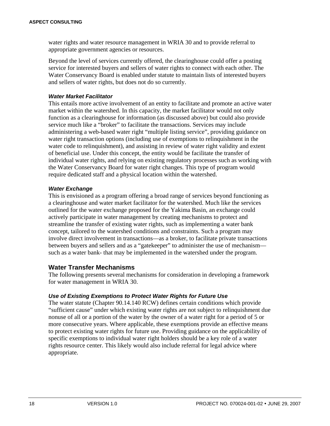water rights and water resource management in WRIA 30 and to provide referral to appropriate government agencies or resources.

Beyond the level of services currently offered, the clearinghouse could offer a posting service for interested buyers and sellers of water rights to connect with each other. The Water Conservancy Board is enabled under statute to maintain lists of interested buyers and sellers of water rights, but does not do so currently.

#### *Water Market Facilitator*

This entails more active involvement of an entity to facilitate and promote an active water market within the watershed. In this capacity, the market facilitator would not only function as a clearinghouse for information (as discussed above) but could also provide service much like a "broker" to facilitate the transactions. Services may include administering a web-based water right "multiple listing service", providing guidance on water right transaction options (including use of exemptions to relinquishment in the water code to relinquishment), and assisting in review of water right validity and extent of beneficial use. Under this concept, the entity would be facilitate the transfer of individual water rights, and relying on existing regulatory processes such as working with the Water Conservancy Board for water right changes. This type of program would require dedicated staff and a physical location within the watershed.

#### *Water Exchange*

This is envisioned as a program offering a broad range of services beyond functioning as a clearinghouse and water market facilitator for the watershed. Much like the services outlined for the water exchange proposed for the Yakima Basin, an exchange could actively participate in water management by creating mechanisms to protect and streamline the transfer of existing water rights, such as implementing a water bank concept, tailored to the watershed conditions and constraints. Such a program may involve direct involvement in transactions––as a broker, to facilitate private transactions between buyers and sellers and as a "gatekeeper" to administer the use of mechanism–– such as a water bank- that may be implemented in the watershed under the program.

#### **Water Transfer Mechanisms**

The following presents several mechanisms for consideration in developing a framework for water management in WRIA 30.

#### *Use of Existing Exemptions to Protect Water Rights for Future Use*

The water statute (Chapter 90.14.140 RCW) defines certain conditions which provide "sufficient cause" under which existing water rights are not subject to relinquishment due nonuse of all or a portion of the water by the owner of a water right for a period of 5 or more consecutive years. Where applicable, these exemptions provide an effective means to protect existing water rights for future use. Providing guidance on the applicability of specific exemptions to individual water right holders should be a key role of a water rights resource center. This likely would also include referral for legal advice where appropriate.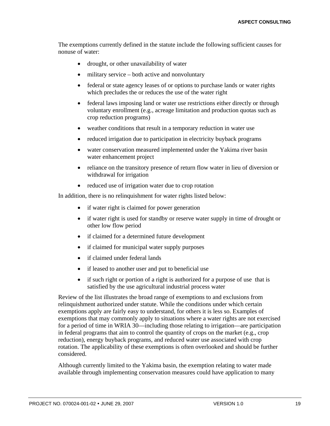The exemptions currently defined in the statute include the following sufficient causes for nonuse of water:

- drought, or other unavailability of water
- military service both active and nonvoluntary
- federal or state agency leases of or options to purchase lands or water rights which precludes the or reduces the use of the water right
- federal laws imposing land or water use restrictions either directly or through voluntary enrollment (e.g., acreage limitation and production quotas such as crop reduction programs)
- weather conditions that result in a temporary reduction in water use
- reduced irrigation due to participation in electricity buyback programs
- water conservation measured implemented under the Yakima river basin water enhancement project
- reliance on the transitory presence of return flow water in lieu of diversion or withdrawal for irrigation
- reduced use of irrigation water due to crop rotation

In addition, there is no relinquishment for water rights listed below:

- if water right is claimed for power generation
- if water right is used for standby or reserve water supply in time of drought or other low flow period
- if claimed for a determined future development
- if claimed for municipal water supply purposes
- if claimed under federal lands
- if leased to another user and put to beneficial use
- if such right or portion of a right is authorized for a purpose of use that is satisfied by the use agricultural industrial process water

Review of the list illustrates the broad range of exemptions to and exclusions from relinquishment authorized under statute. While the conditions under which certain exemptions apply are fairly easy to understand, for others it is less so. Examples of exemptions that may commonly apply to situations where a water rights are not exercised for a period of time in WRIA 30—including those relating to irrigation—are participation in federal programs that aim to control the quantity of crops on the market (e.g., crop reduction), energy buyback programs, and reduced water use associated with crop rotation. The applicability of these exemptions is often overlooked and should be further considered.

Although currently limited to the Yakima basin, the exemption relating to water made available through implementing conservation measures could have application to many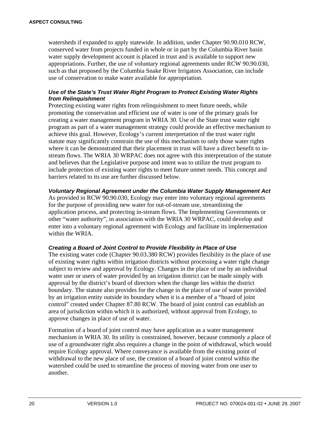watersheds if expanded to apply statewide. In addition, under Chapter 90.90.010 RCW, conserved water from projects funded in whole or in part by the Columbia River basin water supply development account is placed in trust and is available to support new appropriations. Further, the use of voluntary regional agreements under RCW 90.90.030, such as that proposed by the Columbia Snake River Irrigators Association, can include use of conservation to make water available for appropriation.

#### *Use of the State's Trust Water Right Program to Protect Existing Water Rights from Relinquishment*

Protecting existing water rights from relinquishment to meet future needs, while promoting the conservation and efficient use of water is one of the primary goals for creating a water management program in WRIA 30. Use of the State trust water right program as part of a water management strategy could provide an effective mechanism to achieve this goal. However, Ecology's current interpretation of the trust water right statute may significantly constrain the use of this mechanism to only those water rights where it can be demonstrated that their placement in trust will have a direct benefit to instream flows. The WRIA 30 WRPAC does not agree with this interpretation of the statute and believes that the Legislative purpose and intent was to utilize the trust program to include protection of existing water rights to meet future unmet needs. This concept and barriers related to its use are further discussed below.

#### *Voluntary Regional Agreement under the Columbia Water Supply Management Act*

As provided in RCW 90.90.030, Ecology may enter into voluntary regional agreements for the purpose of providing new water for out-of-stream use, streamlining the application process, and protecting in-stream flows. The Implementing Governments or other "water authority", in association with the WRIA 30 WRPAC, could develop and enter into a voluntary regional agreement with Ecology and facilitate its implementation within the WRIA.

#### *Creating a Board of Joint Control to Provide Flexibility in Place of Use*

The existing water code (Chapter 90.03.380 RCW) provides flexibility in the place of use of existing water rights within irrigation districts without processing a water right change subject to review and approval by Ecology. Changes in the place of use by an individual water user or users of water provided by an irrigation district can be made simply with approval by the district's board of directors when the change lies within the district boundary. The statute also provides for the change in the place of use of water provided by an irrigation entity outside its boundary when it is a member of a "board of joint control" created under Chapter 87.80 RCW. The board of joint control can establish an area of jurisdiction within which it is authorized, without approval from Ecology, to approve changes in place of use of water.

Formation of a board of joint control may have application as a water management mechanism in WRIA 30. Its utility is constrained, however, because commonly a place of use of a groundwater right also requires a change in the point of withdrawal, which would require Ecology approval. Where conveyance is available from the existing point of withdrawal to the new place of use, the creation of a board of joint control within the watershed could be used to streamline the process of moving water from one user to another.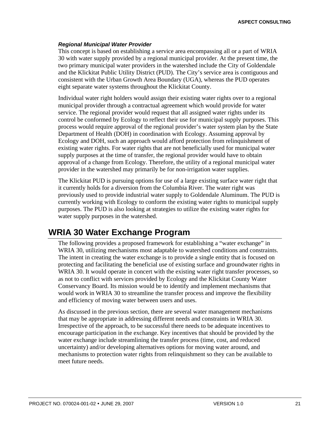#### *Regional Municipal Water Provider*

This concept is based on establishing a service area encompassing all or a part of WRIA 30 with water supply provided by a regional municipal provider. At the present time, the two primary municipal water providers in the watershed include the City of Goldendale and the Klickitat Public Utility District (PUD). The City's service area is contiguous and consistent with the Urban Growth Area Boundary (UGA), whereas the PUD operates eight separate water systems throughout the Klickitat County.

Individual water right holders would assign their existing water rights over to a regional municipal provider through a contractual agreement which would provide for water service. The regional provider would request that all assigned water rights under its control be conformed by Ecology to reflect their use for municipal supply purposes. This process would require approval of the regional provider's water system plan by the State Department of Health (DOH) in coordination with Ecology. Assuming approval by Ecology and DOH, such an approach would afford protection from relinquishment of existing water rights. For water rights that are not beneficially used for municipal water supply purposes at the time of transfer, the regional provider would have to obtain approval of a change from Ecology. Therefore, the utility of a regional municipal water provider in the watershed may primarily be for non-irrigation water supplies.

The Klickitat PUD is pursuing options for use of a large existing surface water right that it currently holds for a diversion from the Columbia River. The water right was previously used to provide industrial water supply to Goldendale Aluminum. The PUD is currently working with Ecology to conform the existing water rights to municipal supply purposes. The PUD is also looking at strategies to utilize the existing water rights for water supply purposes in the watershed.

## **WRIA 30 Water Exchange Program**

The following provides a proposed framework for establishing a "water exchange" in WRIA 30, utilizing mechanisms most adaptable to watershed conditions and constraints. The intent in creating the water exchange is to provide a single entity that is focused on protecting and facilitating the beneficial use of existing surface and groundwater rights in WRIA 30. It would operate in concert with the existing water right transfer processes, so as not to conflict with services provided by Ecology and the Klickitat County Water Conservancy Board. Its mission would be to identify and implement mechanisms that would work in WRIA 30 to streamline the transfer process and improve the flexibility and efficiency of moving water between users and uses.

As discussed in the previous section, there are several water management mechanisms that may be appropriate in addressing different needs and constraints in WRIA 30. Irrespective of the approach, to be successful there needs to be adequate incentives to encourage participation in the exchange. Key incentives that should be provided by the water exchange include streamlining the transfer process (time, cost, and reduced uncertainty) and/or developing alternatives options for moving water around, and mechanisms to protection water rights from relinquishment so they can be available to meet future needs.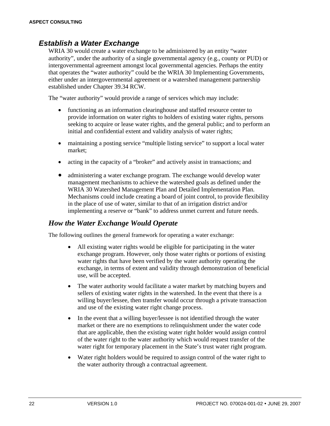### *Establish a Water Exchange*

WRIA 30 would create a water exchange to be administered by an entity "water authority", under the authority of a single governmental agency (e.g., county or PUD) or intergovernmental agreement amongst local governmental agencies. Perhaps the entity that operates the "water authority" could be the WRIA 30 Implementing Governments, either under an intergovernmental agreement or a watershed management partnership established under Chapter 39.34 RCW.

The "water authority" would provide a range of services which may include:

- functioning as an information clearinghouse and staffed resource center to provide information on water rights to holders of existing water rights, persons seeking to acquire or lease water rights, and the general public; and to perform an initial and confidential extent and validity analysis of water rights;
- maintaining a posting service "multiple listing service" to support a local water market;
- acting in the capacity of a "broker" and actively assist in transactions; and
- administering a water exchange program. The exchange would develop water management mechanisms to achieve the watershed goals as defined under the WRIA 30 Watershed Management Plan and Detailed Implementation Plan. Mechanisms could include creating a board of joint control, to provide flexibility in the place of use of water, similar to that of an irrigation district and/or implementing a reserve or "bank" to address unmet current and future needs.

### *How the Water Exchange Would Operate*

The following outlines the general framework for operating a water exchange:

- All existing water rights would be eligible for participating in the water exchange program. However, only those water rights or portions of existing water rights that have been verified by the water authority operating the exchange, in terms of extent and validity through demonstration of beneficial use, will be accepted.
- The water authority would facilitate a water market by matching buyers and sellers of existing water rights in the watershed. In the event that there is a willing buyer/lessee, then transfer would occur through a private transaction and use of the existing water right change process.
- In the event that a willing buyer/lessee is not identified through the water market or there are no exemptions to relinquishment under the water code that are applicable, then the existing water right holder would assign control of the water right to the water authority which would request transfer of the water right for temporary placement in the State's trust water right program.
- Water right holders would be required to assign control of the water right to the water authority through a contractual agreement.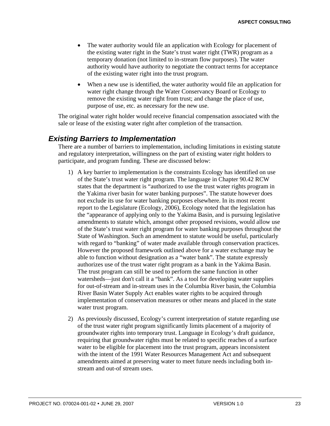- The water authority would file an application with Ecology for placement of the existing water right in the State's trust water right (TWR) program as a temporary donation (not limited to in-stream flow purposes). The water authority would have authority to negotiate the contract terms for acceptance of the existing water right into the trust program.
- When a new use is identified, the water authority would file an application for water right change through the Water Conservancy Board or Ecology to remove the existing water right from trust; and change the place of use, purpose of use, etc. as necessary for the new use.

The original water right holder would receive financial compensation associated with the sale or lease of the existing water right after completion of the transaction.

### *Existing Barriers to Implementation*

There are a number of barriers to implementation, including limitations in existing statute and regulatory interpretation, willingness on the part of existing water right holders to participate, and program funding. These are discussed below:

- 1) A key barrier to implementation is the constraints Ecology has identified on use of the State's trust water right program. The language in Chapter 90.42 RCW states that the department is "authorized to use the trust water rights program in the Yakima river basin for water banking purposes". The statute however does not exclude its use for water banking purposes elsewhere. In its most recent report to the Legislature (Ecology, 2006), Ecology noted that the legislation has the "appearance of applying only to the Yakima Basin, and is pursuing legislative amendments to statute which, amongst other proposed revisions, would allow use of the State's trust water right program for water banking purposes throughout the State of Washington. Such an amendment to statute would be useful, particularly with regard to "banking" of water made available through conservation practices. However the proposed framework outlined above for a water exchange may be able to function without designation as a "water bank". The statute expressly authorizes use of the trust water right program as a bank in the Yakima Basin. The trust program can still be used to perform the same function in other watersheds—just don't call it a "bank". As a tool for developing water supplies for out-of-stream and in-stream uses in the Columbia River basin, the Columbia River Basin Water Supply Act enables water rights to be acquired through implementation of conservation measures or other means and placed in the state water trust program.
- 2) As previously discussed, Ecology's current interpretation of statute regarding use of the trust water right program significantly limits placement of a majority of groundwater rights into temporary trust. Language in Ecology's draft guidance, requiring that groundwater rights must be related to specific reaches of a surface water to be eligible for placement into the trust program, appears inconsistent with the intent of the 1991 Water Resources Management Act and subsequent amendments aimed at preserving water to meet future needs including both instream and out-of stream uses.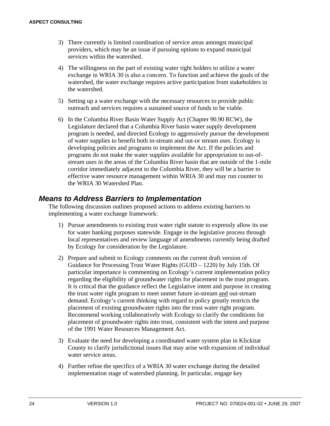- 3) There currently is limited coordination of service areas amongst municipal providers, which may be an issue if pursuing options to expand municipal services within the watershed.
- 4) The willingness on the part of existing water right holders to utilize a water exchange in WRIA 30 is also a concern. To function and achieve the goals of the watershed, the water exchange requires active participation from stakeholders in the watershed.
- 5) Setting up a water exchange with the necessary resources to provide public outreach and services requires a sustained source of funds to be viable.
- 6) In the Columbia River Basin Water Supply Act (Chapter 90.90 RCW), the Legislature declared that a Columbia River basin water supply development program is needed, and directed Ecology to aggressively pursue the development of water supplies to benefit both in-stream and out-or stream uses. Ecology is developing policies and programs to implement the Act. If the policies and programs do not make the water supplies available for appropriation to out-ofstream uses in the areas of the Columbia River basin that are outside of the 1-mile corridor immediately adjacent to the Columbia River, they will be a barrier to effective water resource management within WRIA 30 and may run counter to the WRIA 30 Watershed Plan.

### *Means to Address Barriers to Implementation*

The following discussion outlines proposed actions to address existing barriers to implementing a water exchange framework:

- 1) Pursue amendments to existing trust water right statute to expressly allow its use for water banking purposes statewide. Engage in the legislative process through local representatives and review language of amendments currently being drafted by Ecology for consideration by the Legislature.
- 2) Prepare and submit to Ecology comments on the current draft version of Guidance for Processing Trust Water Rights (GUID – 1220) by July 15th. Of particular importance is commenting on Ecology's current implementation policy regarding the eligibility of groundwater rights for placement in the trust program. It is critical that the guidance reflect the Legislative intent and purpose in creating the trust water right program to meet unmet future in-stream and out-stream demand. Ecology's current thinking with regard to policy greatly restricts the placement of existing groundwater rights into the trust water right program. Recommend working collaboratively with Ecology to clarify the conditions for placement of groundwater rights into trust, consistent with the intent and purpose of the 1991 Water Resources Management Act.
- 3) Evaluate the need for developing a coordinated water system plan in Klickitat County to clarify jurisdictional issues that may arise with expansion of individual water service areas.
- 4) Further refine the specifics of a WRIA 30 water exchange during the detailed implementation stage of watershed planning. In particular, engage key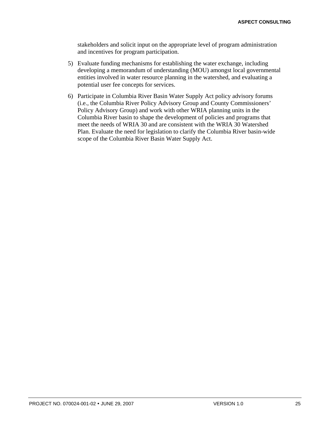stakeholders and solicit input on the appropriate level of program administration and incentives for program participation.

- 5) Evaluate funding mechanisms for establishing the water exchange, including developing a memorandum of understanding (MOU) amongst local governmental entities involved in water resource planning in the watershed, and evaluating a potential user fee concepts for services.
- 6) Participate in Columbia River Basin Water Supply Act policy advisory forums (i.e., the Columbia River Policy Advisory Group and County Commissioners' Policy Advisory Group) and work with other WRIA planning units in the Columbia River basin to shape the development of policies and programs that meet the needs of WRIA 30 and are consistent with the WRIA 30 Watershed Plan. Evaluate the need for legislation to clarify the Columbia River basin-wide scope of the Columbia River Basin Water Supply Act.